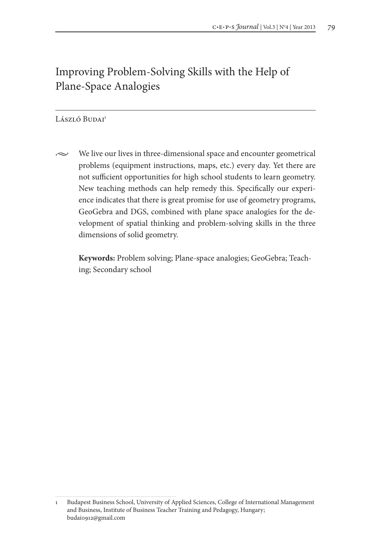# Improving Problem-Solving Skills with the Help of Plane-Space Analogies

# László Budai<sup>1</sup>

 $\sim$  We live our lives in three-dimensional space and encounter geometrical problems (equipment instructions, maps, etc.) every day. Yet there are not sufficient opportunities for high school students to learn geometry. New teaching methods can help remedy this. Specifically our experience indicates that there is great promise for use of geometry programs, GeoGebra and DGS, combined with plane space analogies for the development of spatial thinking and problem-solving skills in the three dimensions of solid geometry.

**Keywords:** Problem solving; Plane-space analogies; GeoGebra; Teaching; Secondary school

<sup>1</sup> Budapest Business School, University of Applied Sciences, College of International Management and Business, Institute of Business Teacher Training and Pedagogy, Hungary; budai0912@gmail.com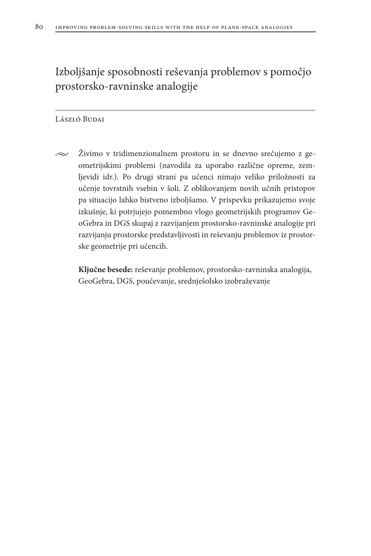Izboljšanje sposobnosti reševanja problemov s pomočjo prostorsko-ravninske analogije

#### László Budai

 $\sim$  Živimo v tridimenzionalnem prostoru in se dnevno srečujemo z geometrijskimi problemi (navodila za uporabo različne opreme, zemljevidi idr.). Po drugi strani pa učenci nimajo veliko priložnosti za učenje tovrstnih vsebin v šoli. Z oblikovanjem novih učnih pristopov pa situacijo lahko bistveno izboljšamo. V prispevku prikazujemo svoje izkušnje, ki potrjujejo pomembno vlogo geometrijskih programov GeoGebra in DGS skupaj z razvijanjem prostorsko-ravninske analogije pri razvijanju prostorske predstavljivosti in reševanju problemov iz prostorske geometrije pri učencih.

**Ključne besede:** reševanje problemov, prostorsko-ravninska analogija, GeoGebra, DGS, poučevanje, srednješolsko izobraževanje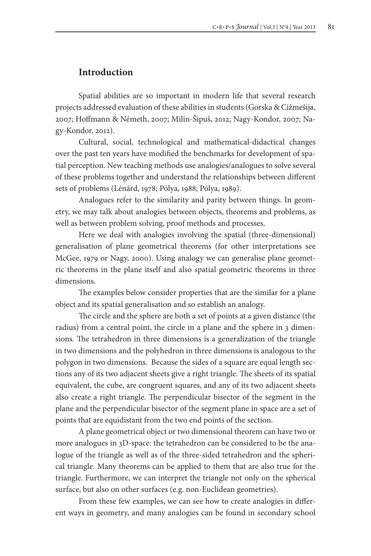## **Introduction**

Spatial abilities are so important in modern life that several research projects addressed evaluation of these abilities in students (Gorska & Cižmešija, 2007; Hoffmann & Németh, 2007; Milin-Šipuš, 2012; Nagy-Kondor, 2007; Nagy-Kondor, 2012).

Cultural, social, technological and mathematical-didactical changes over the past ten years have modified the benchmarks for development of spatial perception. New teaching methods use analogies/analogues to solve several of these problems together and understand the relationships between different sets of problems (Lénárd, 1978; Pólya, 1988; Pólya, 1989).

Analogues refer to the similarity and parity between things. In geometry, we may talk about analogies between objects, theorems and problems, as well as between problem solving, proof methods and processes.

Here we deal with analogies involving the spatial (three-dimensional) generalisation of plane geometrical theorems (for other interpretations see McGee, 1979 or Nagy, 2000). Using analogy we can generalise plane geometric theorems in the plane itself and also spatial geometric theorems in three dimensions.

The examples below consider properties that are the similar for a plane object and its spatial generalisation and so establish an analogy.

The circle and the sphere are both a set of points at a given distance (the radius) from a central point, the circle in a plane and the sphere in 3 dimensions. The tetrahedron in three dimensions is a generalization of the triangle in two dimensions and the polyhedron in three dimensions is analogous to the polygon in two dimensions. Because the sides of a square are equal length sections any of its two adjacent sheets give a right triangle. The sheets of its spatial equivalent, the cube, are congruent squares, and any of its two adjacent sheets also create a right triangle. The perpendicular bisector of the segment in the plane and the perpendicular bisector of the segment plane in space are a set of points that are equidistant from the two end points of the section.

A plane geometrical object or two dimensional theorem can have two or more analogues in 3D-space: the tetrahedron can be considered to be the analogue of the triangle as well as of the three-sided tetrahedron and the spherical triangle. Many theorems can be applied to them that are also true for the triangle. Furthermore, we can interpret the triangle not only on the spherical surface, but also on other surfaces (e.g. non-Euclidean geometries).

From these few examples, we can see how to create analogies in different ways in geometry, and many analogies can be found in secondary school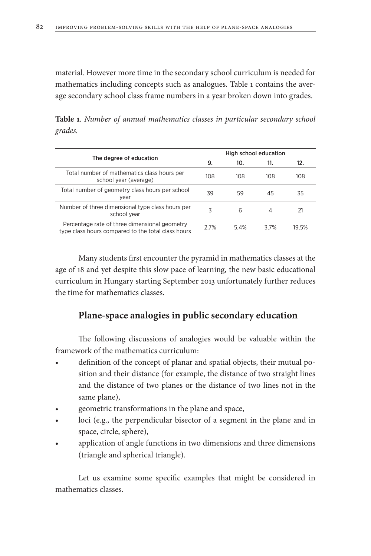material. However more time in the secondary school curriculum is needed for mathematics including concepts such as analogues. Table 1 contains the average secondary school class frame numbers in a year broken down into grades.

**Table 1**. *Number of annual mathematics classes in particular secondary school grades.*

| High school education |      |      |       |
|-----------------------|------|------|-------|
| 9.                    | 10.  | 11.  | 12.   |
| 108                   | 108  | 108  | 108   |
| 39                    | 59   | 45   | 35    |
| 3                     | 6    | 4    | 21    |
| 2.7%                  | 5.4% | 3.7% | 19.5% |
|                       |      |      |       |

Many students first encounter the pyramid in mathematics classes at the age of 18 and yet despite this slow pace of learning, the new basic educational curriculum in Hungary starting September 2013 unfortunately further reduces the time for mathematics classes.

# **Plane-space analogies in public secondary education**

The following discussions of analogies would be valuable within the framework of the mathematics curriculum:

- definition of the concept of planar and spatial objects, their mutual position and their distance (for example, the distance of two straight lines and the distance of two planes or the distance of two lines not in the same plane),
- geometric transformations in the plane and space,
- loci (e.g., the perpendicular bisector of a segment in the plane and in space, circle, sphere),
- application of angle functions in two dimensions and three dimensions (triangle and spherical triangle).

Let us examine some specific examples that might be considered in mathematics classes.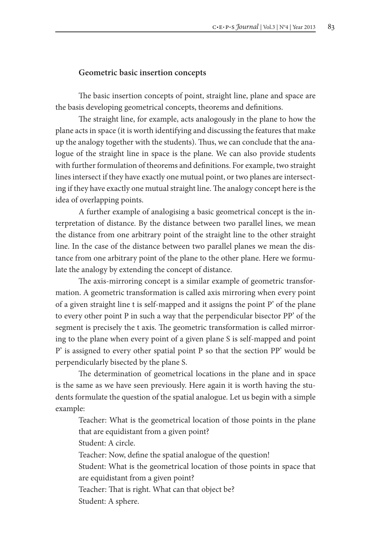#### **Geometric basic insertion concepts**

The basic insertion concepts of point, straight line, plane and space are the basis developing geometrical concepts, theorems and definitions.

The straight line, for example, acts analogously in the plane to how the plane acts in space (it is worth identifying and discussing the features that make up the analogy together with the students). Thus, we can conclude that the analogue of the straight line in space is the plane. We can also provide students with further formulation of theorems and definitions. For example, two straight lines intersect if they have exactly one mutual point, or two planes are intersecting if they have exactly one mutual straight line. The analogy concept here is the idea of overlapping points.

A further example of analogising a basic geometrical concept is the interpretation of distance. By the distance between two parallel lines, we mean the distance from one arbitrary point of the straight line to the other straight line. In the case of the distance between two parallel planes we mean the distance from one arbitrary point of the plane to the other plane. Here we formulate the analogy by extending the concept of distance.

The axis-mirroring concept is a similar example of geometric transformation. A geometric transformation is called axis mirroring when every point of a given straight line t is self-mapped and it assigns the point P' of the plane to every other point P in such a way that the perpendicular bisector PP' of the segment is precisely the t axis. The geometric transformation is called mirroring to the plane when every point of a given plane S is self-mapped and point P' is assigned to every other spatial point P so that the section PP' would be perpendicularly bisected by the plane S.

The determination of geometrical locations in the plane and in space is the same as we have seen previously. Here again it is worth having the students formulate the question of the spatial analogue. Let us begin with a simple example:

Teacher: What is the geometrical location of those points in the plane that are equidistant from a given point? Student: A circle. Teacher: Now, define the spatial analogue of the question! Student: What is the geometrical location of those points in space that are equidistant from a given point? Teacher: That is right. What can that object be? Student: A sphere.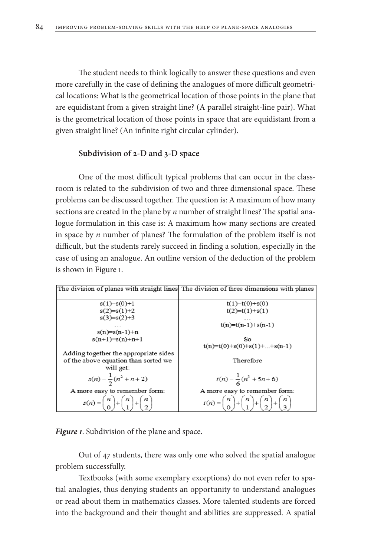The student needs to think logically to answer these questions and even more carefully in the case of defining the analogues of more difficult geometrical locations: What is the geometrical location of those points in the plane that are equidistant from a given straight line? (A parallel straight-line pair). What is the geometrical location of those points in space that are equidistant from a given straight line? (An infinite right circular cylinder).

### **Subdivision of 2-D and 3-D space**

One of the most difficult typical problems that can occur in the classroom is related to the subdivision of two and three dimensional space. These problems can be discussed together. The question is: A maximum of how many sections are created in the plane by *n* number of straight lines? The spatial analogue formulation in this case is: A maximum how many sections are created in space by *n* number of planes? The formulation of the problem itself is not difficult, but the students rarely succeed in finding a solution, especially in the case of using an analogue. An outline version of the deduction of the problem is shown in Figure 1.



*Figure 1*. Subdivision of the plane and space.

Out of 47 students, there was only one who solved the spatial analogue problem successfully.

Textbooks (with some exemplary exceptions) do not even refer to spatial analogies, thus denying students an opportunity to understand analogues or read about them in mathematics classes. More talented students are forced into the background and their thought and abilities are suppressed. A spatial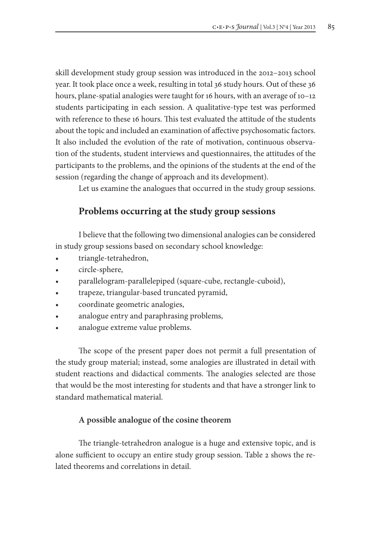skill development study group session was introduced in the 2012–2013 school year. It took place once a week, resulting in total 36 study hours. Out of these 36 hours, plane-spatial analogies were taught for 16 hours, with an average of 10-12 students participating in each session. A qualitative-type test was performed with reference to these 16 hours. This test evaluated the attitude of the students about the topic and included an examination of affective psychosomatic factors. It also included the evolution of the rate of motivation, continuous observation of the students, student interviews and questionnaires, the attitudes of the participants to the problems, and the opinions of the students at the end of the session (regarding the change of approach and its development).

Let us examine the analogues that occurred in the study group sessions.

## **Problems occurring at the study group sessions**

I believe that the following two dimensional analogies can be considered in study group sessions based on secondary school knowledge:

- triangle-tetrahedron,
- circle-sphere,
- parallelogram-parallelepiped (square-cube, rectangle-cuboid),
- trapeze, triangular-based truncated pyramid,
- coordinate geometric analogies,
- analogue entry and paraphrasing problems,
- analogue extreme value problems.

The scope of the present paper does not permit a full presentation of the study group material; instead, some analogies are illustrated in detail with student reactions and didactical comments. The analogies selected are those that would be the most interesting for students and that have a stronger link to standard mathematical material.

### **A possible analogue of the cosine theorem**

The triangle-tetrahedron analogue is a huge and extensive topic, and is alone sufficient to occupy an entire study group session. Table 2 shows the related theorems and correlations in detail.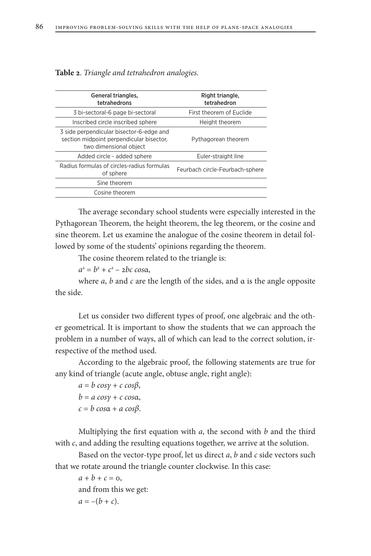| General triangles,<br>tetrahedrons                                                                             | Right triangle,<br>tetrahedron  |  |
|----------------------------------------------------------------------------------------------------------------|---------------------------------|--|
| 3 bi-sectoral-6 page bi-sectoral                                                                               | First theorem of Euclide        |  |
| Inscribed circle inscribed sphere                                                                              | Height theorem                  |  |
| 3 side perpendicular bisector-6-edge and<br>section midpoint perpendicular bisector,<br>two dimensional object | Pythagorean theorem             |  |
| Added circle - added sphere                                                                                    | Euler-straight line             |  |
| Radius formulas of circles-radius formulas<br>of sphere                                                        | Feurbach circle-Feurbach-sphere |  |
| Sine theorem                                                                                                   |                                 |  |
| Cosine theorem                                                                                                 |                                 |  |

**Table 2**. *Triangle and tetrahedron analogies.*

The average secondary school students were especially interested in the Pythagorean Theorem, the height theorem, the leg theorem, or the cosine and sine theorem. Let us examine the analogue of the cosine theorem in detail followed by some of the students' opinions regarding the theorem.

The cosine theorem related to the triangle is:

*a*2 = *b*<sup>2</sup> + *c*<sup>2</sup> – 2*bc cos*α,

where  $a$ ,  $b$  and  $c$  are the length of the sides, and  $\alpha$  is the angle opposite the side.

Let us consider two different types of proof, one algebraic and the other geometrical. It is important to show the students that we can approach the problem in a number of ways, all of which can lead to the correct solution, irrespective of the method used.

According to the algebraic proof, the following statements are true for any kind of triangle (acute angle, obtuse angle, right angle):

*a* = *b cosγ* + *c cosβ*, *b* = *a cosγ* + *c cos*α, *c* = *b cos*α + *a cosβ*.

Multiplying the first equation with *a*, the second with *b* and the third with *c*, and adding the resulting equations together, we arrive at the solution.

Based on the vector-type proof, let us direct *a*, *b* and *c* side vectors such that we rotate around the triangle counter clockwise. In this case:

 $a + b + c = 0$ , and from this we get:  $a = -(b + c)$ .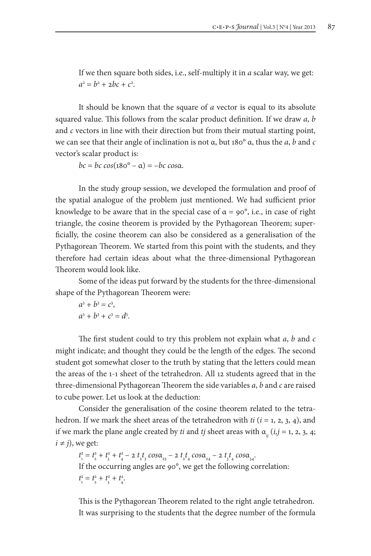If we then square both sides, i.e., self-multiply it in *a* scalar way, we get:  $a^2 = b^2 + 2bc + c^2$ .

It should be known that the square of *a* vector is equal to its absolute squared value. This follows from the scalar product definition. If we draw *a*, *b*  and *c* vectors in line with their direction but from their mutual starting point, we can see that their angle of inclination is not α, but 180° α, thus the *a*, *b* and *c*  vector's scalar product is:

*bc* = *bc cos*(180° – α) = –*bc cos*α.

In the study group session, we developed the formulation and proof of the spatial analogue of the problem just mentioned. We had sufficient prior knowledge to be aware that in the special case of  $\alpha = 90^\circ$ , i.e., in case of right triangle, the cosine theorem is provided by the Pythagorean Theorem; superficially, the cosine theorem can also be considered as a generalisation of the Pythagorean Theorem. We started from this point with the students, and they therefore had certain ideas about what the three-dimensional Pythagorean Theorem would look like.

Some of the ideas put forward by the students for the three-dimensional shape of the Pythagorean Theorem were:

$$
a3 + b3 = c3,
$$
  

$$
a3 + b3 + c3 = d3.
$$

The first student could to try this problem not explain what *a*, *b* and *c*  might indicate; and thought they could be the length of the edges. The second student got somewhat closer to the truth by stating that the letters could mean the areas of the 1-1 sheet of the tetrahedron. All 12 students agreed that in the three-dimensional Pythagorean Theorem the side variables *a*, *b* and *c* are raised to cube power. Let us look at the deduction:

Consider the generalisation of the cosine theorem related to the tetrahedron. If we mark the sheet areas of the tetrahedron with *ti* (*i* = 1, 2, 3, 4), and if we mark the plane angle created by *ti* and *tj* sheet areas with  $\alpha_{ii}$  (*i,j* = 1, 2, 3, 4;  $i \neq j$ , we get:

 $t_1^2 = t_2^2 + t_3^2 + t_4^2 - 2 t_1 t_3 \cos\alpha_2 - 2 t_1 t_4 \cos\alpha_3 - 2 t_1 t_4 \cos\alpha_4$ If the occurring angles are 90°, we get the following correlation:  $t_1^2 = t_2^2 + t_3^2 + t_4^2$ .

This is the Pythagorean Theorem related to the right angle tetrahedron. It was surprising to the students that the degree number of the formula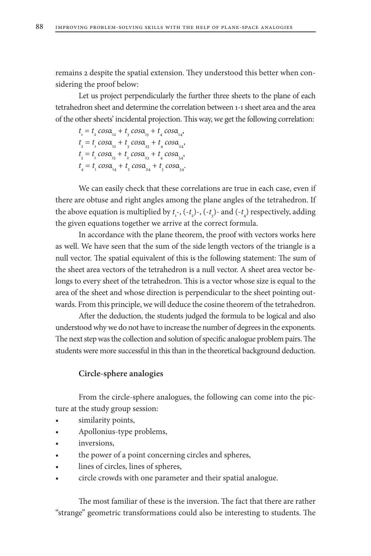remains 2 despite the spatial extension. They understood this better when considering the proof below:

Let us project perpendicularly the further three sheets to the plane of each tetrahedron sheet and determine the correlation between 1-1 sheet area and the area of the other sheets' incidental projection. This way, we get the following correlation:

 $t_1 = t_2 \cos\alpha_{12} + t_3 \cos\alpha_{13} + t_4 \cos\alpha_{14}$  $t_2 = t_1 \cos\alpha_{12} + t_3 \cos\alpha_{23} + t_4 \cos\alpha_{24}$  $t_3 = t_1 \cos\alpha_{13} + t_2 \cos\alpha_{23} + t_4 \cos\alpha_{34}$  $t_4 = t_1 \cos\alpha_{14} + t_2 \cos\alpha_{24} + t_3 \cos\alpha_{34}.$ 

We can easily check that these correlations are true in each case, even if there are obtuse and right angles among the plane angles of the tetrahedron. If the above equation is multiplied by  $t_1$ -,  $(-t_2)$ -,  $(-t_3)$ - and  $(-t_4)$  respectively, adding the given equations together we arrive at the correct formula.

In accordance with the plane theorem, the proof with vectors works here as well. We have seen that the sum of the side length vectors of the triangle is a null vector. The spatial equivalent of this is the following statement: The sum of the sheet area vectors of the tetrahedron is a null vector. A sheet area vector belongs to every sheet of the tetrahedron. This is a vector whose size is equal to the area of the sheet and whose direction is perpendicular to the sheet pointing outwards. From this principle, we will deduce the cosine theorem of the tetrahedron.

After the deduction, the students judged the formula to be logical and also understood why we do not have to increase the number of degrees in the exponents. The next step was the collection and solution of specific analogue problem pairs. The students were more successful in this than in the theoretical background deduction.

#### **Circle-sphere analogies**

From the circle-sphere analogues, the following can come into the picture at the study group session:

- • similarity points,
- Apollonius-type problems,
- inversions,
- the power of a point concerning circles and spheres,
- lines of circles, lines of spheres,
- circle crowds with one parameter and their spatial analogue.

The most familiar of these is the inversion. The fact that there are rather "strange" geometric transformations could also be interesting to students. The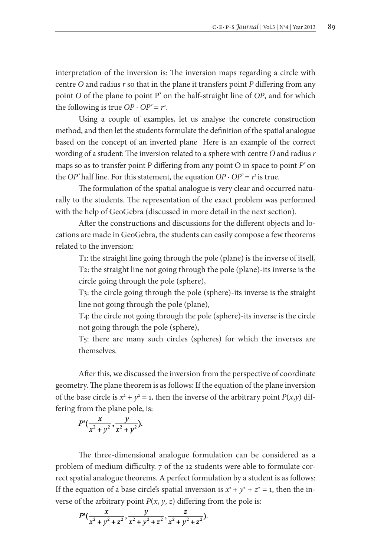interpretation of the inversion is: The inversion maps regarding a circle with centre *O* and radius *r* so that in the plane it transfers point *P* differing from any point *O* of the plane to point P' on the half-straight line of *OP*, and for which the following is true  $OP \cdot OP' = r^2$ .

Using a couple of examples, let us analyse the concrete construction method, and then let the students formulate the definition of the spatial analogue based on the concept of an inverted plane Here is an example of the correct wording of a student: The inversion related to a sphere with centre *O* and radius *r* maps so as to transfer point P differing from any point O in space to point *P'* on the *OP*' half line. For this statement, the equation  $OP \cdot OP' = r^2$  is true.

The formulation of the spatial analogue is very clear and occurred naturally to the students. The representation of the exact problem was performed with the help of GeoGebra (discussed in more detail in the next section).

After the constructions and discussions for the different objects and locations are made in GeoGebra, the students can easily compose a few theorems related to the inversion:

T1: the straight line going through the pole (plane) is the inverse of itself, T2: the straight line not going through the pole (plane)-its inverse is the circle going through the pole (sphere),

T3: the circle going through the pole (sphere)-its inverse is the straight line not going through the pole (plane),

T4: the circle not going through the pole (sphere)-its inverse is the circle not going through the pole (sphere),

T5: there are many such circles (spheres) for which the inverses are themselves.

After this, we discussed the inversion from the perspective of coordinate geometry. The plane theorem is as follows: If the equation of the plane inversion of the base circle is  $x^2 + y^2 = 1$ , then the inverse of the arbitrary point *P*(*x*,*y*) differing from the plane pole, is:

$$
P'(\frac{x}{x^2+y^2}, \frac{y}{x^2+y^2}).
$$

The three-dimensional analogue formulation can be considered as a problem of medium difficulty. 7 of the 12 students were able to formulate correct spatial analogue theorems. A perfect formulation by a student is as follows: If the equation of a base circle's spatial inversion is  $x^2 + y^2 + z^2 = 1$ , then the inverse of the arbitrary point  $P(x, y, z)$  differing from the pole is:

$$
P'(\frac{x}{x^2+y^2+z^2}, \frac{y}{x^2+y^2+z^2}, \frac{z}{x^2+y^2+z^2}).
$$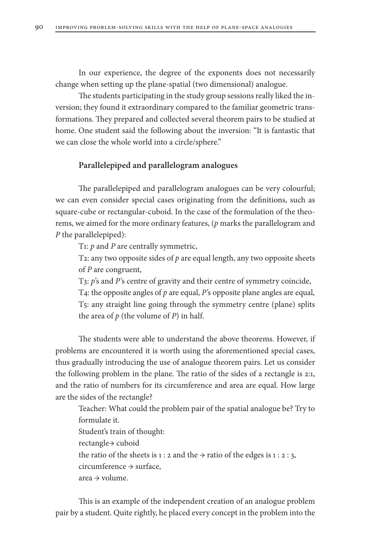In our experience, the degree of the exponents does not necessarily change when setting up the plane-spatial (two dimensional) analogue.

The students participating in the study group sessions really liked the inversion; they found it extraordinary compared to the familiar geometric transformations. They prepared and collected several theorem pairs to be studied at home. One student said the following about the inversion: "It is fantastic that we can close the whole world into a circle/sphere."

### **Parallelepiped and parallelogram analogues**

The parallelepiped and parallelogram analogues can be very colourful; we can even consider special cases originating from the definitions, such as square-cube or rectangular-cuboid. In the case of the formulation of the theorems, we aimed for the more ordinary features, (*p* marks the parallelogram and *P* the parallelepiped):

T1: *p* and *P* are centrally symmetric,

T2: any two opposite sides of *p* are equal length, any two opposite sheets of *P* are congruent,

T3: *p'*s and *P'*s centre of gravity and their centre of symmetry coincide,

T4: the opposite angles of *p* are equal, *P'*s opposite plane angles are equal, T5: any straight line going through the symmetry centre (plane) splits the area of *p* (the volume of *P*) in half.

The students were able to understand the above theorems. However, if problems are encountered it is worth using the aforementioned special cases, thus gradually introducing the use of analogue theorem pairs. Let us consider the following problem in the plane. The ratio of the sides of a rectangle is 2:1, and the ratio of numbers for its circumference and area are equal. How large are the sides of the rectangle?

Teacher: What could the problem pair of the spatial analogue be? Try to formulate it. Student's train of thought: rectangle→ cuboid the ratio of the sheets is 1 : 2 and the  $\rightarrow$  ratio of the edges is 1 : 2 : 3, circumference → surface, area → volume.

This is an example of the independent creation of an analogue problem pair by a student. Quite rightly, he placed every concept in the problem into the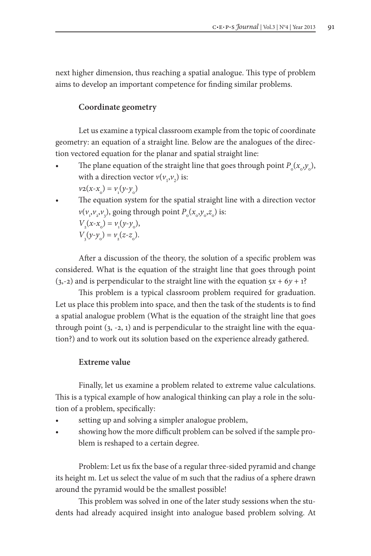next higher dimension, thus reaching a spatial analogue. This type of problem aims to develop an important competence for finding similar problems.

### **Coordinate geometry**

Let us examine a typical classroom example from the topic of coordinate geometry: an equation of a straight line. Below are the analogues of the direction vectored equation for the planar and spatial straight line:

- The plane equation of the straight line that goes through point  $P_0(x_0, y_0)$ , with a direction vector  $v(v_1, v_2)$  is:  $v_2(x-x_0) = v_1(y-y_0)$
- The equation system for the spatial straight line with a direction vector  $v(v_1, v_2, v_3)$ , going through point  $P_o(x_o, y_o, z_o)$  is:  $V_2(x-x_0) = v_1(y-y_0)$ ,  $V_3(y-y_0) = v_2(z-z_0).$

After a discussion of the theory, the solution of a specific problem was considered. What is the equation of the straight line that goes through point  $(3,-2)$  and is perpendicular to the straight line with the equation  $5x + 6y + 1$ ?

This problem is a typical classroom problem required for graduation. Let us place this problem into space, and then the task of the students is to find a spatial analogue problem (What is the equation of the straight line that goes through point (3, -2, 1) and is perpendicular to the straight line with the equation?) and to work out its solution based on the experience already gathered.

### **Extreme value**

Finally, let us examine a problem related to extreme value calculations. This is a typical example of how analogical thinking can play a role in the solution of a problem, specifically:

- setting up and solving a simpler analogue problem,
- showing how the more difficult problem can be solved if the sample problem is reshaped to a certain degree.

Problem: Let us fix the base of a regular three-sided pyramid and change its height m. Let us select the value of m such that the radius of a sphere drawn around the pyramid would be the smallest possible!

This problem was solved in one of the later study sessions when the students had already acquired insight into analogue based problem solving. At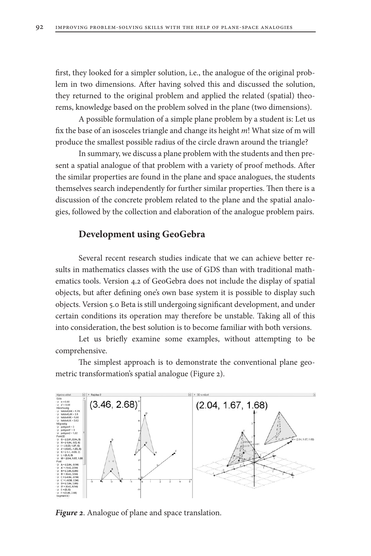first, they looked for a simpler solution, i.e., the analogue of the original problem in two dimensions. After having solved this and discussed the solution, they returned to the original problem and applied the related (spatial) theorems, knowledge based on the problem solved in the plane (two dimensions).

A possible formulation of a simple plane problem by a student is: Let us fix the base of an isosceles triangle and change its height *m*! What size of m will produce the smallest possible radius of the circle drawn around the triangle?

In summary, we discuss a plane problem with the students and then present a spatial analogue of that problem with a variety of proof methods. After the similar properties are found in the plane and space analogues, the students themselves search independently for further similar properties. Then there is a discussion of the concrete problem related to the plane and the spatial analogies, followed by the collection and elaboration of the analogue problem pairs.

# **Development using GeoGebra**

Several recent research studies indicate that we can achieve better results in mathematics classes with the use of GDS than with traditional mathematics tools. Version 4.2 of GeoGebra does not include the display of spatial objects, but after defining one's own base system it is possible to display such objects. Version 5.0 Beta is still undergoing significant development, and under certain conditions its operation may therefore be unstable. Taking all of this into consideration, the best solution is to become familiar with both versions.

Let us briefly examine some examples, without attempting to be comprehensive.

The simplest approach is to demonstrate the conventional plane geometric transformation's spatial analogue (Figure 2).



*Figure 2*. Analogue of plane and space translation.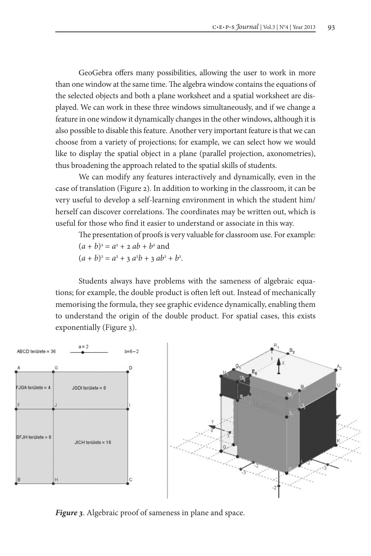GeoGebra offers many possibilities, allowing the user to work in more than one window at the same time. The algebra window contains the equations of the selected objects and both a plane worksheet and a spatial worksheet are displayed. We can work in these three windows simultaneously, and if we change a feature in one window it dynamically changes in the other windows, although it is also possible to disable this feature. Another very important feature is that we can choose from a variety of projections; for example, we can select how we would like to display the spatial object in a plane (parallel projection, axonometries), thus broadening the approach related to the spatial skills of students.

We can modify any features interactively and dynamically, even in the case of translation (Figure 2). In addition to working in the classroom, it can be very useful to develop a self-learning environment in which the student him/ herself can discover correlations. The coordinates may be written out, which is useful for those who find it easier to understand or associate in this way.

The presentation of proofs is very valuable for classroom use. For example:

$$
(a + b)^2 = a^2 + 2 ab + b^2
$$
 and

$$
(a + b)^2 = a^2 + 3 a^2b + 3 ab^2 + b^2.
$$

Students always have problems with the sameness of algebraic equations; for example, the double product is often left out. Instead of mechanically memorising the formula, they see graphic evidence dynamically, enabling them to understand the origin of the double product. For spatial cases, this exists exponentially (Figure 3).



*Figure 3*. Algebraic proof of sameness in plane and space.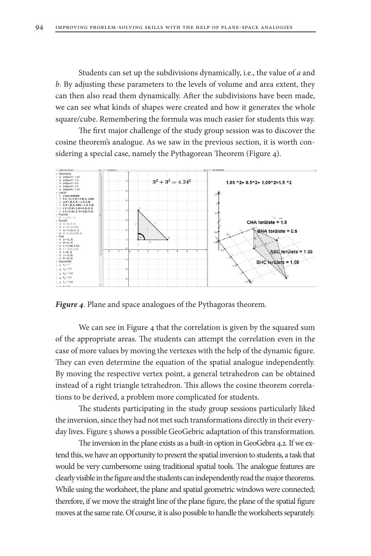Students can set up the subdivisions dynamically, i.e., the value of *a* and *b*. By adjusting these parameters to the levels of volume and area extent, they can then also read them dynamically. After the subdivisions have been made, we can see what kinds of shapes were created and how it generates the whole square/cube. Remembering the formula was much easier for students this way.

The first major challenge of the study group session was to discover the cosine theorem's analogue. As we saw in the previous section, it is worth considering a special case, namely the Pythagorean Theorem (Figure 4).



*Figure 4*. Plane and space analogues of the Pythagoras theorem.

We can see in Figure 4 that the correlation is given by the squared sum of the appropriate areas. The students can attempt the correlation even in the case of more values by moving the vertexes with the help of the dynamic figure. They can even determine the equation of the spatial analogue independently. By moving the respective vertex point, a general tetrahedron can be obtained instead of a right triangle tetrahedron. This allows the cosine theorem correlations to be derived, a problem more complicated for students.

The students participating in the study group sessions particularly liked the inversion, since they had not met such transformations directly in their everyday lives. Figure 5 shows a possible GeoGebric adaptation of this transformation.

The inversion in the plane exists as a built-in option in GeoGebra 4.2. If we extend this, we have an opportunity to present the spatial inversion to students, a task that would be very cumbersome using traditional spatial tools. The analogue features are clearly visible in the figure and the students can independently read the major theorems. While using the worksheet, the plane and spatial geometric windows were connected; therefore, if we move the straight line of the plane figure, the plane of the spatial figure moves at the same rate. Of course, it is also possible to handle the worksheets separately.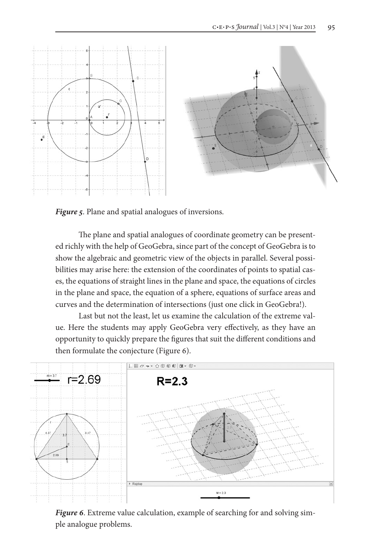

*Figure 5*. Plane and spatial analogues of inversions.

The plane and spatial analogues of coordinate geometry can be presented richly with the help of GeoGebra, since part of the concept of GeoGebra is to show the algebraic and geometric view of the objects in parallel. Several possibilities may arise here: the extension of the coordinates of points to spatial cases, the equations of straight lines in the plane and space, the equations of circles in the plane and space, the equation of a sphere, equations of surface areas and curves and the determination of intersections (just one click in GeoGebra!).

Last but not the least, let us examine the calculation of the extreme value. Here the students may apply GeoGebra very effectively, as they have an opportunity to quickly prepare the figures that suit the different conditions and then formulate the conjecture (Figure 6).



*Figure 6*. Extreme value calculation, example of searching for and solving simple analogue problems.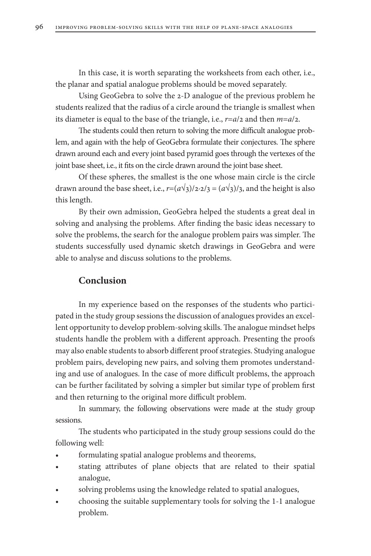In this case, it is worth separating the worksheets from each other, i.e., the planar and spatial analogue problems should be moved separately.

Using GeoGebra to solve the 2-D analogue of the previous problem he students realized that the radius of a circle around the triangle is smallest when its diameter is equal to the base of the triangle, i.e., *r*=*a*/2 and then *m*=*a*/2.

The students could then return to solving the more difficult analogue problem, and again with the help of GeoGebra formulate their conjectures. The sphere drawn around each and every joint based pyramid goes through the vertexes of the joint base sheet, i.e., it fits on the circle drawn around the joint base sheet.

Of these spheres, the smallest is the one whose main circle is the circle drawn around the base sheet, i.e.,  $r=(a\sqrt{3})/2 \cdot 2/3 = (a\sqrt{3})/3$ , and the height is also this length.

By their own admission, GeoGebra helped the students a great deal in solving and analysing the problems. After finding the basic ideas necessary to solve the problems, the search for the analogue problem pairs was simpler. The students successfully used dynamic sketch drawings in GeoGebra and were able to analyse and discuss solutions to the problems.

### **Conclusion**

In my experience based on the responses of the students who participated in the study group sessions the discussion of analogues provides an excellent opportunity to develop problem-solving skills. The analogue mindset helps students handle the problem with a different approach. Presenting the proofs may also enable students to absorb different proof strategies. Studying analogue problem pairs, developing new pairs, and solving them promotes understanding and use of analogues. In the case of more difficult problems, the approach can be further facilitated by solving a simpler but similar type of problem first and then returning to the original more difficult problem.

In summary, the following observations were made at the study group sessions.

The students who participated in the study group sessions could do the following well:

- formulating spatial analogue problems and theorems,
- stating attributes of plane objects that are related to their spatial analogue,
- solving problems using the knowledge related to spatial analogues,
- choosing the suitable supplementary tools for solving the 1-1 analogue problem.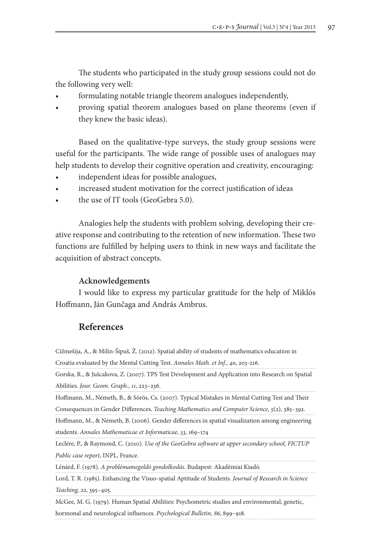The students who participated in the study group sessions could not do the following very well:

- formulating notable triangle theorem analogues independently,
- proving spatial theorem analogues based on plane theorems (even if they knew the basic ideas).

Based on the qualitative-type surveys, the study group sessions were useful for the participants. The wide range of possible uses of analogues may help students to develop their cognitive operation and creativity, encouraging:

- independent ideas for possible analogues,
- increased student motivation for the correct justification of ideas
- the use of IT tools (GeoGebra 5.0).

Analogies help the students with problem solving, developing their creative response and contributing to the retention of new information. These two functions are fulfilled by helping users to think in new ways and facilitate the acquisition of abstract concepts.

#### **Acknowledgements**

I would like to express my particular gratitude for the help of Miklós Hoffmann, Ján Gunčaga and András Ambrus.

# **References**

Cižmešija, A., & Milin-Šipuš, Ž. (2012). Spatial ability of students of mathematics education in Croatia evaluated by the Mental Cutting Test. *Annales Math. et Inf., 40*, 203-216.

Gorska, R., & Jušcakova, Z. (2007). TPS Test Development and Application into Research on Spatial Abilities. *Jour. Geom. Graph., 11*, 223–236.

Hoffmann, M., Németh, B., & Sörös, Cs. (2007). Typical Mistakes in Mental Cutting Test and Their Consequences in Gender Differences. *Teaching Mathematics and Computer Science, 5*(2), 385–392.

Hoffmann, M., & Németh, B. (2006). Gender differences in spatial visualization among engineering students. *Annales Mathematicae et Informaticae, 33,* 169–174

Leclére, P., & Raymond, C. (2010). *Use of the GeoGebra software at upper secondary school, FICTUP Public case report*, INPL, France.

Lénárd, F. (1978). *A problémamegoldó gondolkodás.* Budapest: Akadémiai Kiadó.

Lord, T. R. (1985). Enhancing the Visuo-spatial Aptitude of Students. *Journal of Research in Science Teaching, 22*, 395–405.

McGee, M. G. (1979). Human Spatial Abilities: Psychometric studies and environmental, genetic, hormonal and neurological influences. *Psychological Bulletin, 86*, 899–918.